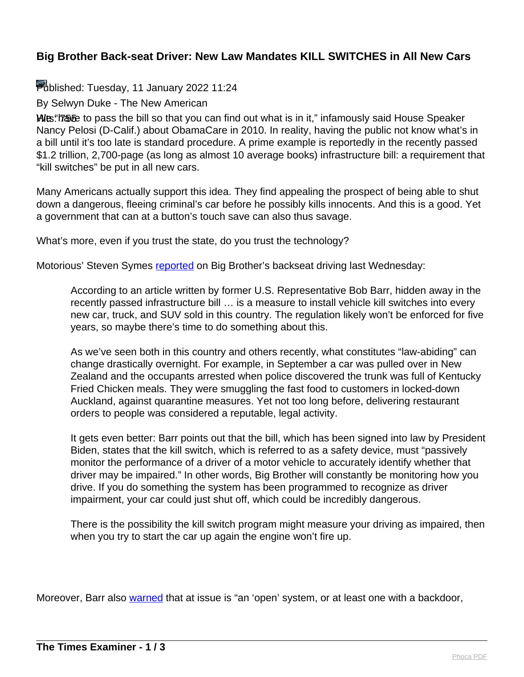## **Big Brother Back-seat Driver: New Law Mandates KILL SWITCHES in All New Cars**

Published: Tuesday, 11 January 2022 11:24

By Selwyn Duke - The New American

Hits: 755 to pass the bill so that you can find out what is in it," infamously said House Speaker Nancy Pelosi (D-Calif.) about ObamaCare in 2010. In reality, having the public not know what's in a bill until it's too late is standard procedure. A prime example is reportedly in the recently passed \$1.2 trillion, 2,700-page (as long as almost 10 average books) infrastructure bill: a requirement that "kill switches" be put in all new cars.

Many Americans actually support this idea. They find appealing the prospect of being able to shut down a dangerous, fleeing criminal's car before he possibly kills innocents. And this is a good. Yet a government that can at a button's touch save can also thus savage.

What's more, even if you trust the state, do you trust the technology?

Motorious' Steven Symes [reported](https://www.msn.com/en-us/news/technology/new-law-will-install-kill-switches-in-all-new-cars/ar-AASt1Th) on Big Brother's backseat driving last Wednesday:

According to an article written by former U.S. Representative Bob Barr, hidden away in the recently passed infrastructure bill … is a measure to install vehicle kill switches into every new car, truck, and SUV sold in this country. The regulation likely won't be enforced for five years, so maybe there's time to do something about this.

As we've seen both in this country and others recently, what constitutes "law-abiding" can change drastically overnight. For example, in September a car was pulled over in New Zealand and the occupants arrested when police discovered the trunk was full of Kentucky Fried Chicken meals. They were smuggling the fast food to customers in locked-down Auckland, against quarantine measures. Yet not too long before, delivering restaurant orders to people was considered a reputable, legal activity.

It gets even better: Barr points out that the bill, which has been signed into law by President Biden, states that the kill switch, which is referred to as a safety device, must "passively monitor the performance of a driver of a motor vehicle to accurately identify whether that driver may be impaired." In other words, Big Brother will constantly be monitoring how you drive. If you do something the system has been programmed to recognize as driver impairment, your car could just shut off, which could be incredibly dangerous.

There is the possibility the kill switch program might measure your driving as impaired, then when you try to start the car up again the engine won't fire up.

Moreover, Barr also [warned](https://dailycaller.com/2021/11/29/barr-bidens-infrastructure-bill-contains-backdoor-kill-switch-for-cars/) that at issue is "an 'open' system, or at least one with a backdoor,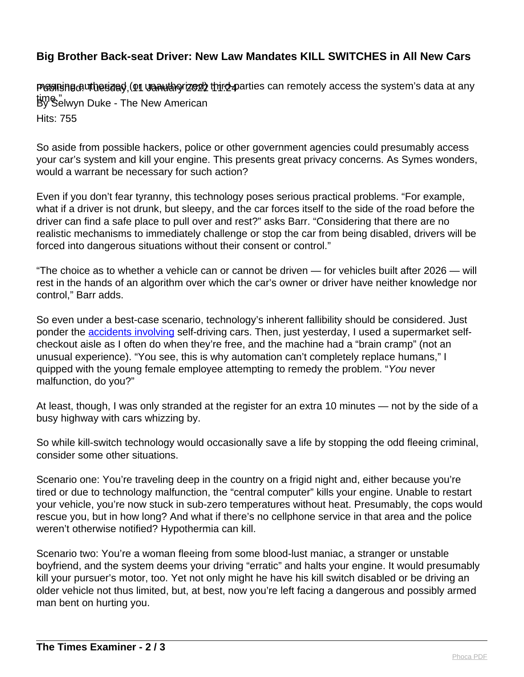## **Big Brother Back-seat Driver: New Law Mandates KILL SWITCHES in All New Cars**

PGGRISHEGUTO esaSo, (On URAUTO TZG2) thiro-parties can remotely access the system's data at any time."<br>By Selwyn Duke - The New American Hits: 755

So aside from possible hackers, police or other government agencies could presumably access your car's system and kill your engine. This presents great privacy concerns. As Symes wonders, would a warrant be necessary for such action?

Even if you don't fear tyranny, this technology poses serious practical problems. "For example, what if a driver is not drunk, but sleepy, and the car forces itself to the side of the road before the driver can find a safe place to pull over and rest?" asks Barr. "Considering that there are no realistic mechanisms to immediately challenge or stop the car from being disabled, drivers will be forced into dangerous situations without their consent or control."

"The choice as to whether a vehicle can or cannot be driven — for vehicles built after 2026 — will rest in the hands of an algorithm over which the car's owner or driver have neither knowledge nor control," Barr adds.

So even under a best-case scenario, technology's inherent fallibility should be considered. Just ponder the **accidents involving** self-driving cars. Then, just yesterday, I used a supermarket selfcheckout aisle as I often do when they're free, and the machine had a "brain cramp" (not an unusual experience). "You see, this is why automation can't completely replace humans," I quipped with the young female employee attempting to remedy the problem. "You never malfunction, do you?"

At least, though, I was only stranded at the register for an extra 10 minutes — not by the side of a busy highway with cars whizzing by.

So while kill-switch technology would occasionally save a life by stopping the odd fleeing criminal, consider some other situations.

Scenario one: You're traveling deep in the country on a frigid night and, either because you're tired or due to technology malfunction, the "central computer" kills your engine. Unable to restart your vehicle, you're now stuck in sub-zero temperatures without heat. Presumably, the cops would rescue you, but in how long? And what if there's no cellphone service in that area and the police weren't otherwise notified? Hypothermia can kill.

Scenario two: You're a woman fleeing from some blood-lust maniac, a stranger or unstable boyfriend, and the system deems your driving "erratic" and halts your engine. It would presumably kill your pursuer's motor, too. Yet not only might he have his kill switch disabled or be driving an older vehicle not thus limited, but, at best, now you're left facing a dangerous and possibly armed man bent on hurting you.